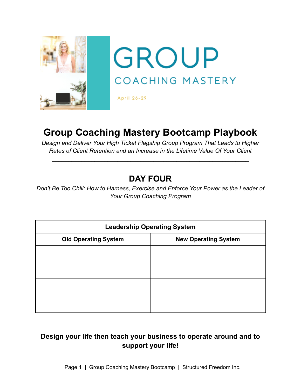

# **Group Coaching Mastery Bootcamp Playbook**

*Design and Deliver Your High Ticket Flagship Group Program That Leads to Higher Rates of Client Retention and an Increase in the Lifetime Value Of Your Client*

\_\_\_\_\_\_\_\_\_\_\_\_\_\_\_\_\_\_\_\_\_\_\_\_\_\_\_\_\_\_\_\_\_\_\_\_\_\_\_\_\_\_\_\_\_\_\_\_\_\_\_\_\_\_\_\_\_\_\_\_

## **DAY FOUR**

*Don't Be Too Chill: How to Harness, Exercise and Enforce Your Power as the Leader of Your Group Coaching Program*

| <b>Leadership Operating System</b> |                             |  |
|------------------------------------|-----------------------------|--|
| <b>Old Operating System</b>        | <b>New Operating System</b> |  |
|                                    |                             |  |
|                                    |                             |  |
|                                    |                             |  |
|                                    |                             |  |

### **Design your life then teach your business to operate around and to support your life!**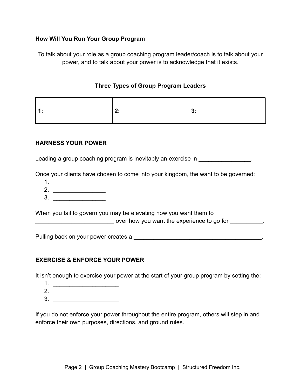#### **How Will You Run Your Group Program**

To talk about your role as a group coaching program leader/coach is to talk about your power, and to talk about your power is to acknowledge that it exists.

#### **Three Types of Group Program Leaders**

|--|--|--|

#### **HARNESS YOUR POWER**

Leading a group coaching program is inevitably an exercise in **Exercise** in

Once your clients have chosen to come into your kingdom, the want to be governed:

- 1. \_\_\_\_\_\_\_\_\_\_\_\_\_\_\_\_
- 2. \_\_\_\_\_\_\_\_\_\_\_\_\_\_\_\_
- $3.$

When you fail to govern you may be elevating how you want them to experience to go for the experience to go for  $\blacksquare$ 

Pulling back on your power creates a **with the set of the set of the set of the set of the set of the set of the set of the set of the set of the set of the set of the set of the set of the set of the set of the set of the** 

#### **EXERCISE & ENFORCE YOUR POWER**

It isn't enough to exercise your power at the start of your group program by setting the:

- 1. \_\_\_\_\_\_\_\_\_\_\_\_\_\_\_\_\_\_\_\_
- 2. \_\_\_\_\_\_\_\_\_\_\_\_\_\_\_\_\_\_\_\_
- $3.$

If you do not enforce your power throughout the entire program, others will step in and enforce their own purposes, directions, and ground rules.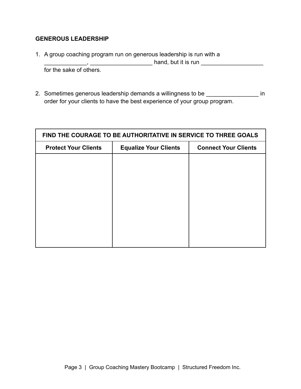#### **GENEROUS LEADERSHIP**

1. A group coaching program run on generous leadership is run with a \_\_\_\_\_\_\_\_\_\_\_\_\_, \_\_\_\_\_\_\_\_\_\_\_\_\_\_\_\_\_\_\_ hand, but it is run \_\_\_\_\_\_\_\_\_\_\_\_\_\_\_\_\_\_\_

for the sake of others.

2. Sometimes generous leadership demands a willingness to be \_\_\_\_\_\_\_\_\_\_\_\_\_\_\_\_\_\_\_ in order for your clients to have the best experience of your group program.

| FIND THE COURAGE TO BE AUTHORITATIVE IN SERVICE TO THREE GOALS |                              |                             |  |
|----------------------------------------------------------------|------------------------------|-----------------------------|--|
| <b>Protect Your Clients</b>                                    | <b>Equalize Your Clients</b> | <b>Connect Your Clients</b> |  |
|                                                                |                              |                             |  |
|                                                                |                              |                             |  |
|                                                                |                              |                             |  |
|                                                                |                              |                             |  |
|                                                                |                              |                             |  |
|                                                                |                              |                             |  |
|                                                                |                              |                             |  |
|                                                                |                              |                             |  |